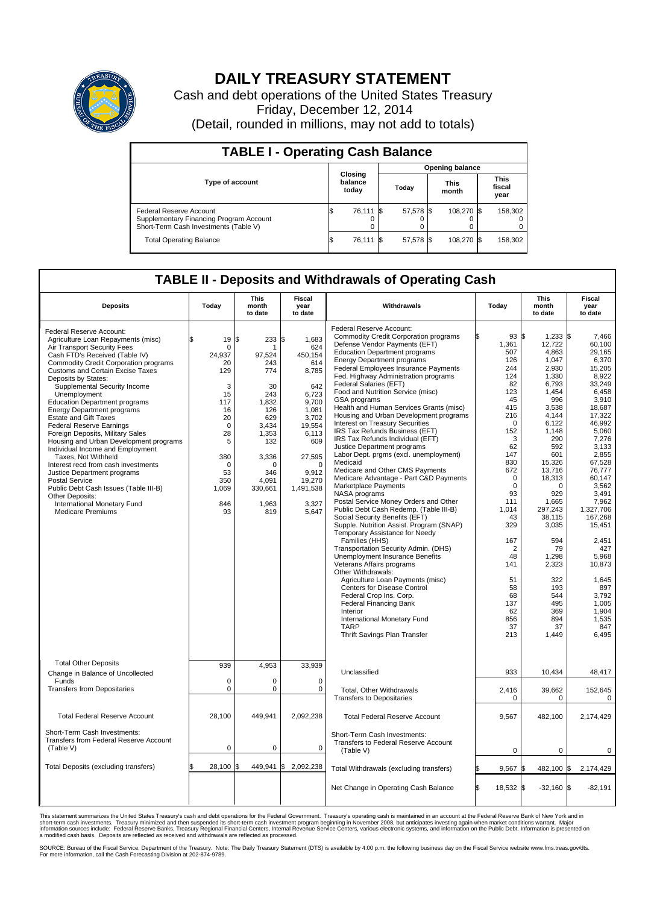

## **DAILY TREASURY STATEMENT**

Cash and debt operations of the United States Treasury Friday, December 12, 2014 (Detail, rounded in millions, may not add to totals)

| <b>TABLE I - Operating Cash Balance</b>                                                                     |    |                             |  |                        |  |                      |  |                               |  |  |
|-------------------------------------------------------------------------------------------------------------|----|-----------------------------|--|------------------------|--|----------------------|--|-------------------------------|--|--|
|                                                                                                             |    |                             |  | <b>Opening balance</b> |  |                      |  |                               |  |  |
| <b>Type of account</b>                                                                                      |    | Closing<br>balance<br>today |  | Today                  |  | <b>This</b><br>month |  | <b>This</b><br>fiscal<br>year |  |  |
| Federal Reserve Account<br>Supplementary Financing Program Account<br>Short-Term Cash Investments (Table V) |    | 76,111 \$                   |  | 57,578 \$              |  | 108.270 \$           |  | 158,302                       |  |  |
| <b>Total Operating Balance</b>                                                                              | ıа | 76,111 \$                   |  | 57,578 \$              |  | 108,270 \$           |  | 158,302                       |  |  |

## **TABLE II - Deposits and Withdrawals of Operating Cash**

| <b>Deposits</b>                                                                                                                                                                                                                                                                                                                                                                                                                                                                                                                                                                                                                                                                                                                                                                                           | Today                                                                                                                                                        | This<br>month<br>to date                                                                                                                                 | <b>Fiscal</b><br>year<br>to date                                                                                                                                                           | Withdrawals                                                                                                                                                                                                                                                                                                                                                                                                                                                                                                                                                                                                                                                                                                                                                                                                                                                                                                                                                                                                                                                                                                                                                                                                                                                                                                                                       | Today                                                                                                                                                                                                                                                                                       | <b>This</b><br>month<br>to date                                                                                                                                                                                                                                                                                     | Fiscal<br>year<br>to date                                                                                                                                                                                                                                                                                                                             |
|-----------------------------------------------------------------------------------------------------------------------------------------------------------------------------------------------------------------------------------------------------------------------------------------------------------------------------------------------------------------------------------------------------------------------------------------------------------------------------------------------------------------------------------------------------------------------------------------------------------------------------------------------------------------------------------------------------------------------------------------------------------------------------------------------------------|--------------------------------------------------------------------------------------------------------------------------------------------------------------|----------------------------------------------------------------------------------------------------------------------------------------------------------|--------------------------------------------------------------------------------------------------------------------------------------------------------------------------------------------|---------------------------------------------------------------------------------------------------------------------------------------------------------------------------------------------------------------------------------------------------------------------------------------------------------------------------------------------------------------------------------------------------------------------------------------------------------------------------------------------------------------------------------------------------------------------------------------------------------------------------------------------------------------------------------------------------------------------------------------------------------------------------------------------------------------------------------------------------------------------------------------------------------------------------------------------------------------------------------------------------------------------------------------------------------------------------------------------------------------------------------------------------------------------------------------------------------------------------------------------------------------------------------------------------------------------------------------------------|---------------------------------------------------------------------------------------------------------------------------------------------------------------------------------------------------------------------------------------------------------------------------------------------|---------------------------------------------------------------------------------------------------------------------------------------------------------------------------------------------------------------------------------------------------------------------------------------------------------------------|-------------------------------------------------------------------------------------------------------------------------------------------------------------------------------------------------------------------------------------------------------------------------------------------------------------------------------------------------------|
| Federal Reserve Account:<br>Agriculture Loan Repayments (misc)<br>Air Transport Security Fees<br>Cash FTD's Received (Table IV)<br>Commodity Credit Corporation programs<br><b>Customs and Certain Excise Taxes</b><br>Deposits by States:<br>Supplemental Security Income<br>Unemployment<br><b>Education Department programs</b><br><b>Energy Department programs</b><br><b>Estate and Gift Taxes</b><br><b>Federal Reserve Earnings</b><br>Foreign Deposits, Military Sales<br>Housing and Urban Development programs<br>Individual Income and Employment<br>Taxes. Not Withheld<br>Interest recd from cash investments<br>Justice Department programs<br><b>Postal Service</b><br>Public Debt Cash Issues (Table III-B)<br>Other Deposits:<br>International Monetary Fund<br><b>Medicare Premiums</b> | 19<br>\$<br>$\mathbf 0$<br>24,937<br>20<br>129<br>3<br>15<br>117<br>16<br>20<br>$\mathbf 0$<br>28<br>5<br>380<br>$\Omega$<br>53<br>350<br>1,069<br>846<br>93 | l\$<br>233<br>97,524<br>243<br>774<br>30<br>243<br>1.832<br>126<br>629<br>3,434<br>1,353<br>132<br>3,336<br>n<br>346<br>4,091<br>330,661<br>1,963<br>819 | S.<br>1,683<br>624<br>450,154<br>614<br>8,785<br>642<br>6,723<br>9.700<br>1,081<br>3,702<br>19,554<br>6,113<br>609<br>27,595<br>$\Omega$<br>9.912<br>19,270<br>1,491,538<br>3,327<br>5,647 | Federal Reserve Account:<br><b>Commodity Credit Corporation programs</b><br>Defense Vendor Payments (EFT)<br><b>Education Department programs</b><br><b>Energy Department programs</b><br>Federal Employees Insurance Payments<br>Fed. Highway Administration programs<br>Federal Salaries (EFT)<br>Food and Nutrition Service (misc)<br>GSA programs<br>Health and Human Services Grants (misc)<br>Housing and Urban Development programs<br>Interest on Treasury Securities<br>IRS Tax Refunds Business (EFT)<br>IRS Tax Refunds Individual (EFT)<br>Justice Department programs<br>Labor Dept. prgms (excl. unemployment)<br>Medicaid<br>Medicare and Other CMS Payments<br>Medicare Advantage - Part C&D Payments<br>Marketplace Payments<br>NASA programs<br>Postal Service Money Orders and Other<br>Public Debt Cash Redemp. (Table III-B)<br>Social Security Benefits (EFT)<br>Supple. Nutrition Assist. Program (SNAP)<br>Temporary Assistance for Needy<br>Families (HHS)<br>Transportation Security Admin. (DHS)<br>Unemployment Insurance Benefits<br>Veterans Affairs programs<br>Other Withdrawals:<br>Agriculture Loan Payments (misc)<br><b>Centers for Disease Control</b><br>Federal Crop Ins. Corp.<br><b>Federal Financing Bank</b><br>Interior<br>International Monetary Fund<br><b>TARP</b><br>Thrift Savings Plan Transfer | 93 \$<br>1,361<br>507<br>126<br>244<br>124<br>82<br>123<br>45<br>415<br>216<br>$\mathbf 0$<br>152<br>3<br>62<br>147<br>830<br>672<br>$\mathbf 0$<br>$\mathbf 0$<br>93<br>111<br>1,014<br>43<br>329<br>167<br>$\overline{2}$<br>48<br>141<br>51<br>58<br>68<br>137<br>62<br>856<br>37<br>213 | $1,233$ \$<br>12,722<br>4,863<br>1,047<br>2,930<br>1,330<br>6,793<br>1,454<br>996<br>3,538<br>4,144<br>6,122<br>1,148<br>290<br>592<br>601<br>15,326<br>13,716<br>18,313<br>0<br>929<br>1,665<br>297,243<br>38,115<br>3,035<br>594<br>79<br>1.298<br>2,323<br>322<br>193<br>544<br>495<br>369<br>894<br>37<br>1,449 | 7.466<br>60,100<br>29.165<br>6,370<br>15,205<br>8,922<br>33,249<br>6,458<br>3,910<br>18.687<br>17,322<br>46,992<br>5,060<br>7,276<br>3,133<br>2,855<br>67.528<br>76,777<br>60,147<br>3,562<br>3.491<br>7,962<br>1,327,706<br>167,268<br>15,451<br>2,451<br>427<br>5.968<br>10,873<br>1,645<br>897<br>3,792<br>1,005<br>1,904<br>1,535<br>847<br>6,495 |
| <b>Total Other Deposits</b><br>Change in Balance of Uncollected                                                                                                                                                                                                                                                                                                                                                                                                                                                                                                                                                                                                                                                                                                                                           | 939                                                                                                                                                          | 4,953                                                                                                                                                    | 33,939                                                                                                                                                                                     | Unclassified                                                                                                                                                                                                                                                                                                                                                                                                                                                                                                                                                                                                                                                                                                                                                                                                                                                                                                                                                                                                                                                                                                                                                                                                                                                                                                                                      | 933                                                                                                                                                                                                                                                                                         | 10,434                                                                                                                                                                                                                                                                                                              | 48,417                                                                                                                                                                                                                                                                                                                                                |
| Funds<br><b>Transfers from Depositaries</b>                                                                                                                                                                                                                                                                                                                                                                                                                                                                                                                                                                                                                                                                                                                                                               | $\mathbf 0$<br>$\mathbf 0$                                                                                                                                   | 0<br>0                                                                                                                                                   | $\mathbf 0$<br>0                                                                                                                                                                           | Total, Other Withdrawals<br><b>Transfers to Depositaries</b>                                                                                                                                                                                                                                                                                                                                                                                                                                                                                                                                                                                                                                                                                                                                                                                                                                                                                                                                                                                                                                                                                                                                                                                                                                                                                      | 2,416<br>$\mathbf 0$                                                                                                                                                                                                                                                                        | 39,662<br>0                                                                                                                                                                                                                                                                                                         | 152,645<br>0                                                                                                                                                                                                                                                                                                                                          |
| <b>Total Federal Reserve Account</b>                                                                                                                                                                                                                                                                                                                                                                                                                                                                                                                                                                                                                                                                                                                                                                      | 28,100                                                                                                                                                       | 449,941                                                                                                                                                  | 2,092,238                                                                                                                                                                                  | <b>Total Federal Reserve Account</b>                                                                                                                                                                                                                                                                                                                                                                                                                                                                                                                                                                                                                                                                                                                                                                                                                                                                                                                                                                                                                                                                                                                                                                                                                                                                                                              | 9,567                                                                                                                                                                                                                                                                                       | 482,100                                                                                                                                                                                                                                                                                                             | 2,174,429                                                                                                                                                                                                                                                                                                                                             |
| Short-Term Cash Investments:<br>Transfers from Federal Reserve Account<br>(Table V)                                                                                                                                                                                                                                                                                                                                                                                                                                                                                                                                                                                                                                                                                                                       | $\mathbf 0$                                                                                                                                                  | 0                                                                                                                                                        | $\mathbf 0$                                                                                                                                                                                | Short-Term Cash Investments:<br>Transfers to Federal Reserve Account<br>(Table V)                                                                                                                                                                                                                                                                                                                                                                                                                                                                                                                                                                                                                                                                                                                                                                                                                                                                                                                                                                                                                                                                                                                                                                                                                                                                 | 0                                                                                                                                                                                                                                                                                           | 0                                                                                                                                                                                                                                                                                                                   | 0                                                                                                                                                                                                                                                                                                                                                     |
| Total Deposits (excluding transfers)                                                                                                                                                                                                                                                                                                                                                                                                                                                                                                                                                                                                                                                                                                                                                                      | 28,100<br>\$                                                                                                                                                 | ß.                                                                                                                                                       | 449,941 \$ 2,092,238                                                                                                                                                                       | Total Withdrawals (excluding transfers)                                                                                                                                                                                                                                                                                                                                                                                                                                                                                                                                                                                                                                                                                                                                                                                                                                                                                                                                                                                                                                                                                                                                                                                                                                                                                                           | 9,567                                                                                                                                                                                                                                                                                       | 482,100 \$                                                                                                                                                                                                                                                                                                          | 2,174,429                                                                                                                                                                                                                                                                                                                                             |
|                                                                                                                                                                                                                                                                                                                                                                                                                                                                                                                                                                                                                                                                                                                                                                                                           |                                                                                                                                                              |                                                                                                                                                          |                                                                                                                                                                                            | Net Change in Operating Cash Balance                                                                                                                                                                                                                                                                                                                                                                                                                                                                                                                                                                                                                                                                                                                                                                                                                                                                                                                                                                                                                                                                                                                                                                                                                                                                                                              | l\$<br>18.532 \$                                                                                                                                                                                                                                                                            | $-32.160$ \$                                                                                                                                                                                                                                                                                                        | $-82.191$                                                                                                                                                                                                                                                                                                                                             |

This statement summarizes the United States Treasury's cash and debt operations for the Federal Government. Treasury's operating cash is maintained in an account at the Federal Reserve Bank of New York and in<br>short-term ca

SOURCE: Bureau of the Fiscal Service, Department of the Treasury. Note: The Daily Treasury Statement (DTS) is available by 4:00 p.m. the following business day on the Fiscal Service website www.fms.treas.gov/dts.<br>For more